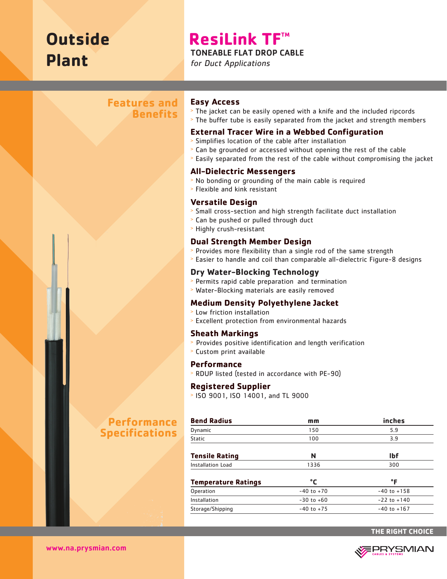# **Outside Plant**

## **ResiLink TF™**

#### TONEABLE FLAT DROP CABLE

for Duct Applications

## **Features and Benefits**

#### **Easy Access**

<sup>&</sup>gt; The jacket can be easily opened with a knife and the included ripcords <sup>&</sup>gt; The buffer tube is easily separated from the jacket and strength members

#### **External Tracer Wire in a Webbed Configuration**

- <sup>&</sup>gt; Simplifies location of the cable after installation
- <sup>&</sup>gt; Can be grounded or accessed without opening the rest of the cable
- <sup>&</sup>gt; Easily separated from the rest of the cable without compromising the jacket

#### **All-Dielectric Messengers**

- <sup>&</sup>gt; No bonding or grounding of the main cable is required
- <sup>&</sup>gt; Flexible and kink resistant

#### **Versatile Design**

- <sup>&</sup>gt; Small cross-section and high strength facilitate duct installation
- <sup>&</sup>gt; Can be pushed or pulled through duct
- <sup>&</sup>gt; Highly crush-resistant

#### **Dual Strength Member Design**

- <sup>&</sup>gt; Provides more flexibility than a single rod of the same strength
- <sup>&</sup>gt; Easier to handle and coil than comparable all-dielectric Figure-8 designs

#### **Dry Water-Blocking Technology**

- <sup>&</sup>gt; Permits rapid cable preparation and termination
- <sup>&</sup>gt; Water-Blocking materials are easily removed

#### **Medium Density Polyethylene Jacket**

- <sup>&</sup>gt; Low friction installation
- <sup>&</sup>gt; Excellent protection from environmental hazards

#### **Sheath Markings**

- > Provides positive identification and length verification
- <sup>&</sup>gt; Custom print available

#### **Performance**

<sup>&</sup>gt; RDUP listed (tested in accordance with PE-90)

#### **Registered Supplier**

<sup>&</sup>gt; ISO 9001, ISO 14001, and TL 9000

| mm             | inches<br>5.9<br>3.9 |  |
|----------------|----------------------|--|
| 150            |                      |  |
| 100            |                      |  |
| N              | <b>Ibf</b>           |  |
| 1336           | 300                  |  |
| °C             | °F                   |  |
| $-40$ to $+70$ | $-40$ to $+158$      |  |
| $-30$ to $+60$ | $-22$ to $+140$      |  |
| $-40$ to $+75$ | $-40$ to $+167$      |  |
|                |                      |  |

## **Performance Specifications**